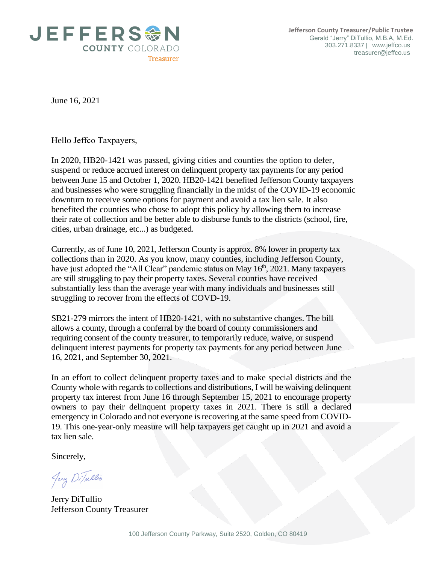

June 16, 2021

Hello Jeffco Taxpayers,

In 2020, HB20-1421 was passed, giving cities and counties the option to defer, suspend or reduce accrued interest on delinquent property tax payments for any period between June 15 and October 1, 2020. HB20-1421 benefited Jefferson County taxpayers and businesses who were struggling financially in the midst of the COVID-19 economic downturn to receive some options for payment and avoid a tax lien sale. It also benefited the counties who chose to adopt this policy by allowing them to increase their rate of collection and be better able to disburse funds to the districts (school, fire, cities, urban drainage, etc...) as budgeted.

Currently, as of June 10, 2021, Jefferson County is approx. 8% lower in property tax collections than in 2020. As you know, many counties, including Jefferson County, have just adopted the "All Clear" pandemic status on May 16<sup>th</sup>, 2021. Many taxpayers are still struggling to pay their property taxes. Several counties have received substantially less than the average year with many individuals and businesses still struggling to recover from the effects of COVD-19.

SB21-279 mirrors the intent of HB20-1421, with no substantive changes. The bill allows a county, through a conferral by the board of county commissioners and requiring consent of the county treasurer, to temporarily reduce, waive, or suspend delinquent interest payments for property tax payments for any period between June 16, 2021, and September 30, 2021.

In an effort to collect delinquent property taxes and to make special districts and the County whole with regards to collections and distributions, I will be waiving delinquent property tax interest from June 16 through September 15, 2021 to encourage property owners to pay their delinquent property taxes in 2021. There is still a declared emergency in Colorado and not everyone is recovering at the same speed from COVID-19. This one-year-only measure will help taxpayers get caught up in 2021 and avoid a tax lien sale.

Sincerely,

Jerry DiTullio

Jerry DiTullio Jefferson County Treasurer